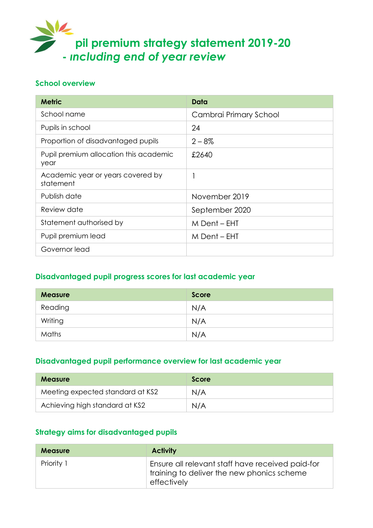

#### **School overview**

| <b>Metric</b>                                  | Data                   |
|------------------------------------------------|------------------------|
| School name                                    | Cambrai Primary School |
| Pupils in school                               | 24                     |
| Proportion of disadvantaged pupils             | $2 - 8\%$              |
| Pupil premium allocation this academic<br>year | £2640                  |
| Academic year or years covered by<br>statement |                        |
| Publish date                                   | November 2019          |
| Review date                                    | September 2020         |
| Statement authorised by                        | M Dent – EHT           |
| Pupil premium lead                             | M Dent – EHT           |
| Governor lead                                  |                        |

## **Disadvantaged pupil progress scores for last academic year**

| <b>Measure</b> | <b>Score</b> |
|----------------|--------------|
| Reading        | N/A          |
| Writing        | N/A          |
| Maths          | N/A          |

### **Disadvantaged pupil performance overview for last academic year**

| <b>Measure</b>                   | Score |
|----------------------------------|-------|
| Meeting expected standard at KS2 | N/A   |
| Achieving high standard at KS2   | N/A   |

## **Strategy aims for disadvantaged pupils**

| <b>Measure</b> | <b>Activity</b>                                                                                               |
|----------------|---------------------------------------------------------------------------------------------------------------|
| Priority 1     | Ensure all relevant staff have received paid-for<br>training to deliver the new phonics scheme<br>effectively |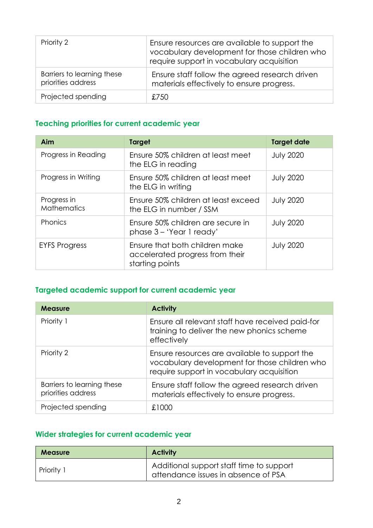| Priority 2                                       | Ensure resources are available to support the<br>vocabulary development for those children who<br>require support in vocabulary acquisition |
|--------------------------------------------------|---------------------------------------------------------------------------------------------------------------------------------------------|
| Barriers to learning these<br>priorities address | Ensure staff follow the agreed research driven<br>materials effectively to ensure progress.                                                 |
| Projected spending                               | £750                                                                                                                                        |

# **Teaching priorities for current academic year**

| Aim                               | <b>Target</b>                                                                        | <b>Target date</b> |
|-----------------------------------|--------------------------------------------------------------------------------------|--------------------|
| Progress in Reading               | Ensure 50% children at least meet<br>the ELG in reading                              | <b>July 2020</b>   |
| Progress in Writing               | Ensure 50% children at least meet<br>the ELG in writing                              | <b>July 2020</b>   |
| Progress in<br><b>Mathematics</b> | Ensure 50% children at least exceed<br>the ELG in number / SSM                       | <b>July 2020</b>   |
| Phonics                           | Ensure 50% children are secure in<br>phase 3 - 'Year 1 ready'                        | <b>July 2020</b>   |
| <b>EYFS Progress</b>              | Ensure that both children make<br>accelerated progress from their<br>starting points | <b>July 2020</b>   |

# **Targeted academic support for current academic year**

| <b>Measure</b>                                   | <b>Activity</b>                                                                                                                             |
|--------------------------------------------------|---------------------------------------------------------------------------------------------------------------------------------------------|
| Priority 1                                       | Ensure all relevant staff have received paid-for<br>training to deliver the new phonics scheme<br>effectively                               |
| Priority 2                                       | Ensure resources are available to support the<br>vocabulary development for those children who<br>require support in vocabulary acquisition |
| Barriers to learning these<br>priorities address | Ensure staff follow the agreed research driven<br>materials effectively to ensure progress.                                                 |
| Projected spending                               | £1000                                                                                                                                       |

# **Wider strategies for current academic year**

| <b>Measure</b> | <b>Activity</b>                                                                 |  |
|----------------|---------------------------------------------------------------------------------|--|
| Priority 1     | Additional support staff time to support<br>attendance issues in absence of PSA |  |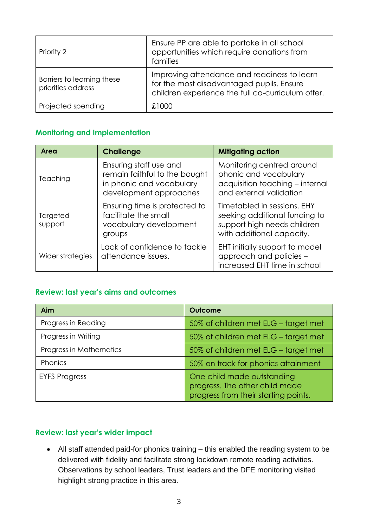| Priority 2                                       | Ensure PP are able to partake in all school<br>opportunities which require donations from<br>families                                         |
|--------------------------------------------------|-----------------------------------------------------------------------------------------------------------------------------------------------|
| Barriers to learning these<br>priorities address | Improving attendance and readiness to learn<br>for the most disadvantaged pupils. Ensure<br>children experience the full co-curriculum offer. |
| Projected spending                               | £1000                                                                                                                                         |

### **Monitoring and Implementation**

| Area                | <b>Challenge</b>                                                                                              | <b>Mitigating action</b>                                                                                                 |
|---------------------|---------------------------------------------------------------------------------------------------------------|--------------------------------------------------------------------------------------------------------------------------|
| Teaching            | Ensuring staff use and<br>remain faithful to the bought<br>in phonic and vocabulary<br>development approaches | Monitoring centred around<br>phonic and vocabulary<br>acquisition teaching - internal<br>and external validation         |
| Targeted<br>support | Ensuring time is protected to<br>facilitate the small<br>vocabulary development<br>groups                     | Timetabled in sessions, EHY<br>seeking additional funding to<br>support high needs children<br>with additional capacity. |
| Wider strategies    | Lack of confidence to tackle<br>attendance issues.                                                            | EHT initially support to model<br>approach and policies -<br>increased EHT time in school                                |

### **Review: last year's aims and outcomes**

| <b>Aim</b>              | <b>Outcome</b>                                                                                       |
|-------------------------|------------------------------------------------------------------------------------------------------|
| Progress in Reading     | 50% of children met ELG - target met                                                                 |
| Progress in Writing     | 50% of children met ELG - target met                                                                 |
| Progress in Mathematics | 50% of children met ELG - target met                                                                 |
| Phonics                 | 50% on track for phonics attainment                                                                  |
| <b>EYFS Progress</b>    | One child made outstanding<br>progress. The other child made<br>progress from their starting points. |

### **Review: last year's wider impact**

 All staff attended paid-for phonics training – this enabled the reading system to be delivered with fidelity and facilitate strong lockdown remote reading activities. Observations by school leaders, Trust leaders and the DFE monitoring visited highlight strong practice in this area.